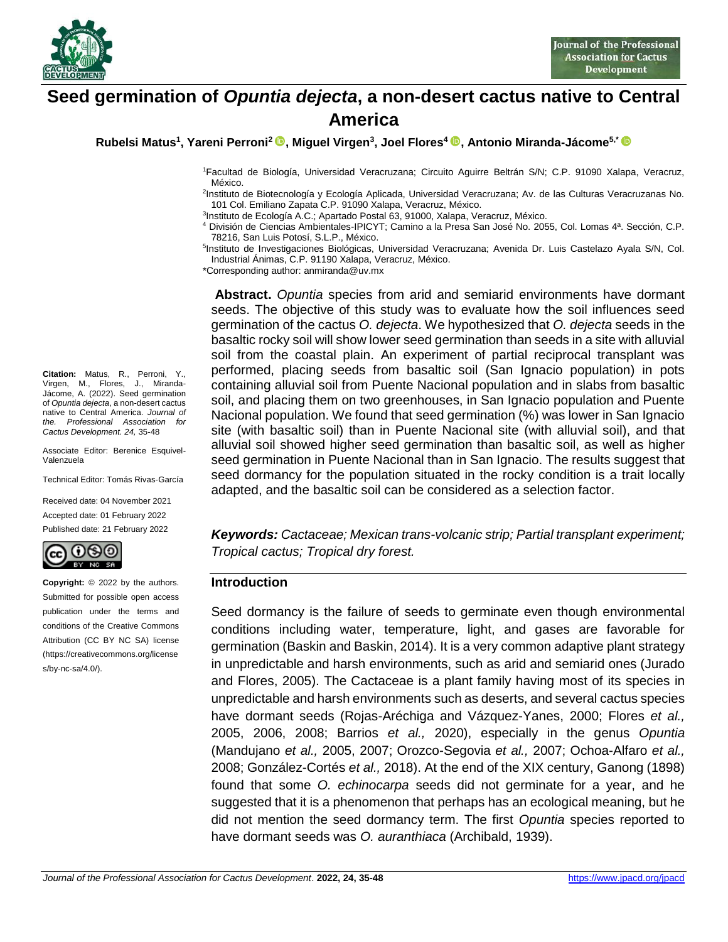

# **Seed germination of** *Opuntia dejecta***, a non-desert cactus native to Central America**

**Rubelsi Matus<sup>1</sup> , Yareni Perroni<sup>2</sup> , Miguel Virgen<sup>3</sup> , Joel Flores<sup>4</sup> , Antonio Miranda-Jácome5,\***

<sup>1</sup>Facultad de Biología, Universidad Veracruzana; Circuito Aguirre Beltrán S/N; C.P. 91090 Xalapa, Veracruz, México.

2 Instituto de Biotecnología y Ecología Aplicada, Universidad Veracruzana; Av. de las Culturas Veracruzanas No. 101 Col. Emiliano Zapata C.P. 91090 Xalapa, Veracruz, México.

3 Instituto de Ecología A.C.; Apartado Postal 63, 91000, Xalapa, Veracruz, México.

<sup>4</sup> División de Ciencias Ambientales-IPICYT; Camino a la Presa San José No. 2055, Col. Lomas 4ª. Sección, C.P. 78216, San Luis Potosí, S.L.P., México.

5 Instituto de Investigaciones Biológicas, Universidad Veracruzana; Avenida Dr. Luis Castelazo Ayala S/N, Col. Industrial Ánimas, C.P. 91190 Xalapa, Veracruz, México.

\*Corresponding author: anmiranda@uv.mx

**Abstract.** *Opuntia* species from arid and semiarid environments have dormant seeds. The objective of this study was to evaluate how the soil influences seed germination of the cactus *O. dejecta*. We hypothesized that *O. dejecta* seeds in the basaltic rocky soil will show lower seed germination than seeds in a site with alluvial soil from the coastal plain. An experiment of partial reciprocal transplant was performed, placing seeds from basaltic soil (San Ignacio population) in pots containing alluvial soil from Puente Nacional population and in slabs from basaltic soil, and placing them on two greenhouses, in San Ignacio population and Puente Nacional population. We found that seed germination (%) was lower in San Ignacio site (with basaltic soil) than in Puente Nacional site (with alluvial soil), and that alluvial soil showed higher seed germination than basaltic soil, as well as higher seed germination in Puente Nacional than in San Ignacio. The results suggest that seed dormancy for the population situated in the rocky condition is a trait locally adapted, and the basaltic soil can be considered as a selection factor.

*Keywords: Cactaceae; Mexican trans-volcanic strip; Partial transplant experiment; Tropical cactus; Tropical dry forest.*

#### **Introduction**

Seed dormancy is the failure of seeds to germinate even though environmental conditions including water, temperature, light, and gases are favorable for germination (Baskin and Baskin, 2014). It is a very common adaptive plant strategy in unpredictable and harsh environments, such as arid and semiarid ones (Jurado and Flores, 2005). The Cactaceae is a plant family having most of its species in unpredictable and harsh environments such as deserts, and several cactus species have dormant seeds (Rojas-Aréchiga and Vázquez-Yanes, 2000; Flores *et al.,* 2005, 2006, 2008; Barrios *et al.,* 2020), especially in the genus *Opuntia* (Mandujano *et al.,* 2005, 2007; Orozco-Segovia *et al.,* 2007; Ochoa-Alfaro *et al.,* 2008; González-Cortés *et al.,* 2018). At the end of the XIX century, Ganong (1898) found that some *O. echinocarpa* seeds did not germinate for a year, and he suggested that it is a phenomenon that perhaps has an ecological meaning, but he did not mention the seed dormancy term. The first *Opuntia* species reported to have dormant seeds was *O. auranthiaca* (Archibald, 1939).

**Citation:** Matus, R., Perroni, Y., Virgen, M., Flores, J., Miranda-Jácome, A. (2022). Seed germination of *Opuntia dejecta*, a non-desert cactus native to Central America. *Journal of the. Professional Association for Cactus Development. 24,* 35-48

Associate Editor: Berenice Esquivel-Valenzuela

Technical Editor: Tomás Rivas-García

Received date: 04 November 2021 Accepted date: 01 February 2022 Published date: 21 February 2022



**Copyright:** © 2022 by the authors. Submitted for possible open access publication under the terms and conditions of the Creative Commons Attribution (CC BY NC SA) license (https://creativecommons.org/license s/by-nc-sa/4.0/).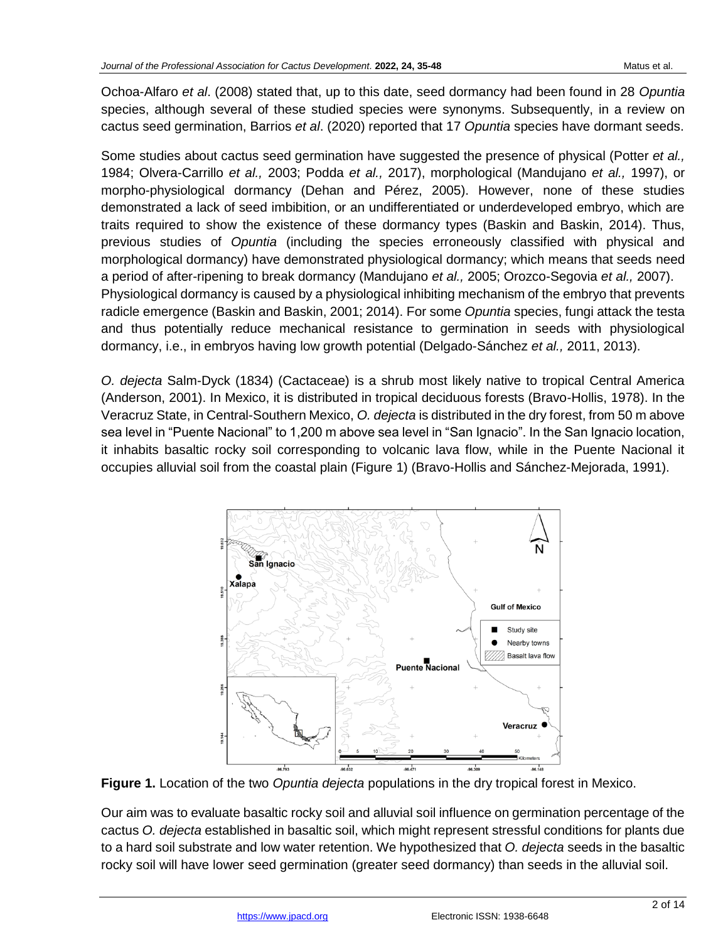Ochoa-Alfaro *et al*. (2008) stated that, up to this date, seed dormancy had been found in 28 *Opuntia* species, although several of these studied species were synonyms. Subsequently, in a review on cactus seed germination, Barrios *et al*. (2020) reported that 17 *Opuntia* species have dormant seeds.

Some studies about cactus seed germination have suggested the presence of physical (Potter *et al.,* 1984; Olvera-Carrillo *et al.,* 2003; Podda *et al.,* 2017), morphological (Mandujano *et al.,* 1997), or morpho-physiological dormancy (Dehan and Pérez, 2005). However, none of these studies demonstrated a lack of seed imbibition, or an undifferentiated or underdeveloped embryo, which are traits required to show the existence of these dormancy types (Baskin and Baskin, 2014). Thus, previous studies of *Opuntia* (including the species erroneously classified with physical and morphological dormancy) have demonstrated physiological dormancy; which means that seeds need a period of after-ripening to break dormancy (Mandujano *et al.,* 2005; Orozco-Segovia *et al.,* 2007). Physiological dormancy is caused by a physiological inhibiting mechanism of the embryo that prevents radicle emergence (Baskin and Baskin, 2001; 2014). For some *Opuntia* species, fungi attack the testa and thus potentially reduce mechanical resistance to germination in seeds with physiological dormancy, i.e., in embryos having low growth potential (Delgado-Sánchez *et al.,* 2011, 2013).

*O. dejecta* Salm-Dyck (1834) (Cactaceae) is a shrub most likely native to tropical Central America (Anderson, 2001). In Mexico, it is distributed in tropical deciduous forests (Bravo-Hollis, 1978). In the Veracruz State, in Central-Southern Mexico, *O. dejecta* is distributed in the dry forest, from 50 m above sea level in "Puente Nacional" to 1,200 m above sea level in "San Ignacio". In the San Ignacio location, it inhabits basaltic rocky soil corresponding to volcanic lava flow, while in the Puente Nacional it occupies alluvial soil from the coastal plain (Figure 1) (Bravo-Hollis and Sánchez-Mejorada, 1991).



**Figure 1.** Location of the two *Opuntia dejecta* populations in the dry tropical forest in Mexico.

Our aim was to evaluate basaltic rocky soil and alluvial soil influence on germination percentage of the cactus *O. dejecta* established in basaltic soil, which might represent stressful conditions for plants due to a hard soil substrate and low water retention. We hypothesized that *O. dejecta* seeds in the basaltic rocky soil will have lower seed germination (greater seed dormancy) than seeds in the alluvial soil.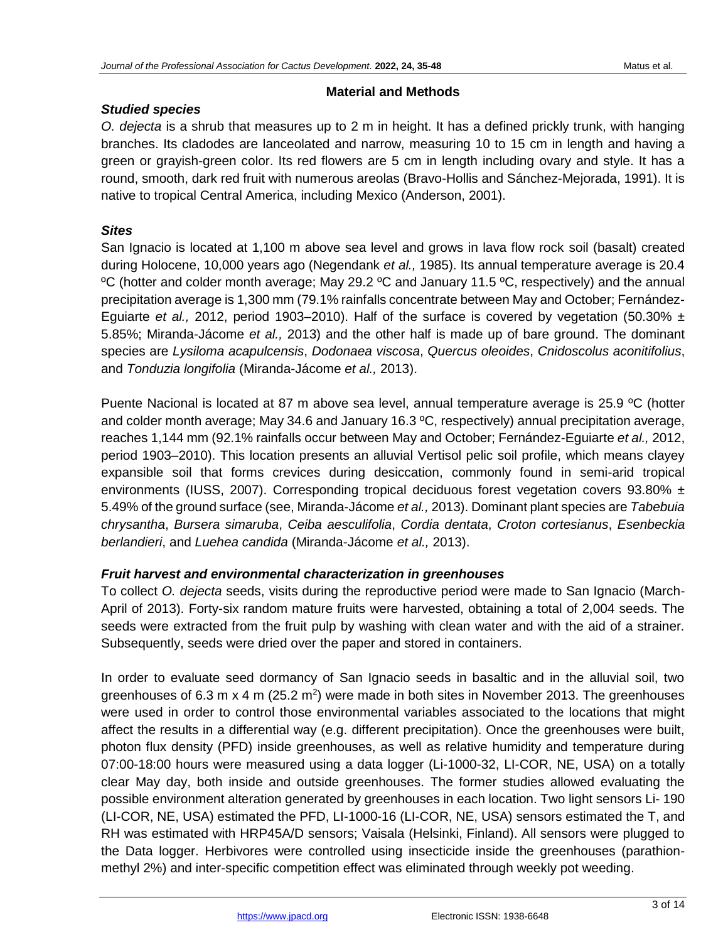## **Material and Methods**

# *Studied species*

*O. dejecta* is a shrub that measures up to 2 m in height. It has a defined prickly trunk, with hanging branches. Its cladodes are lanceolated and narrow, measuring 10 to 15 cm in length and having a green or grayish-green color. Its red flowers are 5 cm in length including ovary and style. It has a round, smooth, dark red fruit with numerous areolas (Bravo-Hollis and Sánchez-Mejorada, 1991). It is native to tropical Central America, including Mexico (Anderson, 2001).

# *Sites*

San Ignacio is located at 1,100 m above sea level and grows in lava flow rock soil (basalt) created during Holocene, 10,000 years ago (Negendank *et al.,* 1985). Its annual temperature average is 20.4 ºC (hotter and colder month average; May 29.2 ºC and January 11.5 ºC, respectively) and the annual precipitation average is 1,300 mm (79.1% rainfalls concentrate between May and October; Fernández-Eguiarte *et al.,* 2012, period 1903–2010). Half of the surface is covered by vegetation (50.30% ± 5.85%; Miranda-Jácome *et al.,* 2013) and the other half is made up of bare ground. The dominant species are *Lysiloma acapulcensis*, *Dodonaea viscosa*, *Quercus oleoides*, *Cnidoscolus aconitifolius*, and *Tonduzia longifolia* (Miranda-Jácome *et al.,* 2013).

Puente Nacional is located at 87 m above sea level, annual temperature average is 25.9 ºC (hotter and colder month average; May 34.6 and January 16.3 ºC, respectively) annual precipitation average, reaches 1,144 mm (92.1% rainfalls occur between May and October; Fernández-Eguiarte *et al.,* 2012, period 1903–2010). This location presents an alluvial Vertisol pelic soil profile, which means clayey expansible soil that forms crevices during desiccation, commonly found in semi-arid tropical environments (IUSS, 2007). Corresponding tropical deciduous forest vegetation covers 93.80%  $\pm$ 5.49% of the ground surface (see, Miranda-Jácome *et al.,* 2013). Dominant plant species are *Tabebuia chrysantha*, *Bursera simaruba*, *Ceiba aesculifolia*, *Cordia dentata*, *Croton cortesianus*, *Esenbeckia berlandieri*, and *Luehea candida* (Miranda-Jácome *et al.,* 2013).

# *Fruit harvest and environmental characterization in greenhouses*

To collect *O. dejecta* seeds, visits during the reproductive period were made to San Ignacio (March-April of 2013). Forty-six random mature fruits were harvested, obtaining a total of 2,004 seeds. The seeds were extracted from the fruit pulp by washing with clean water and with the aid of a strainer. Subsequently, seeds were dried over the paper and stored in containers.

In order to evaluate seed dormancy of San Ignacio seeds in basaltic and in the alluvial soil, two greenhouses of 6.3 m x 4 m (25.2 m<sup>2</sup>) were made in both sites in November 2013. The greenhouses were used in order to control those environmental variables associated to the locations that might affect the results in a differential way (e.g. different precipitation). Once the greenhouses were built, photon flux density (PFD) inside greenhouses, as well as relative humidity and temperature during 07:00-18:00 hours were measured using a data logger (Li-1000-32, LI-COR, NE, USA) on a totally clear May day, both inside and outside greenhouses. The former studies allowed evaluating the possible environment alteration generated by greenhouses in each location. Two light sensors Li- 190 (LI-COR, NE, USA) estimated the PFD, LI-1000-16 (LI-COR, NE, USA) sensors estimated the T, and RH was estimated with HRP45A/D sensors; Vaisala (Helsinki, Finland). All sensors were plugged to the Data logger. Herbivores were controlled using insecticide inside the greenhouses (parathionmethyl 2%) and inter-specific competition effect was eliminated through weekly pot weeding.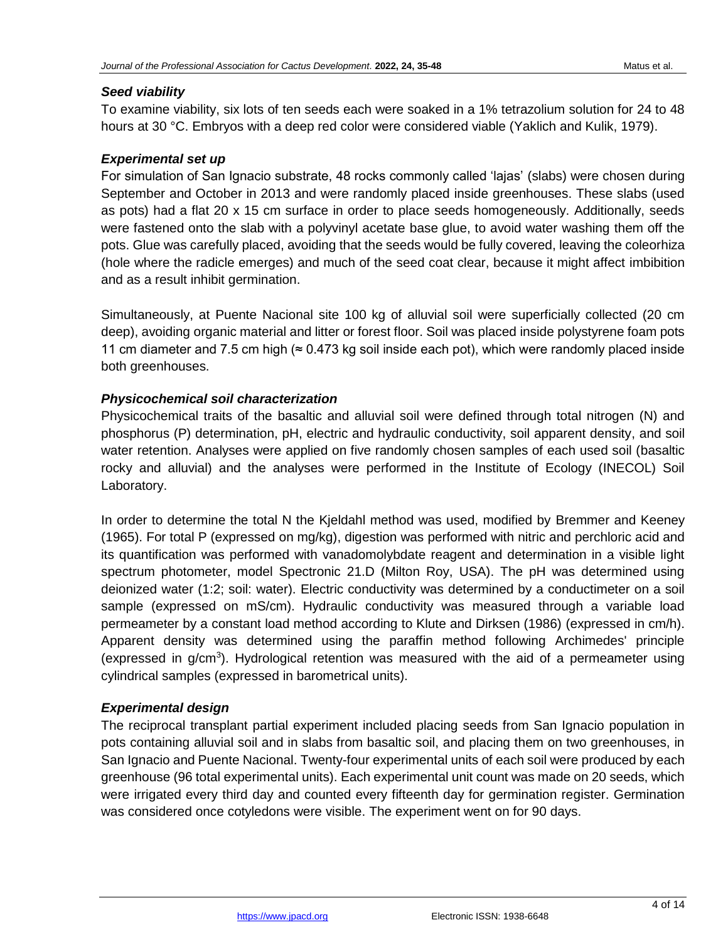## *Seed viability*

To examine viability, six lots of ten seeds each were soaked in a 1% tetrazolium solution for 24 to 48 hours at 30 °C. Embryos with a deep red color were considered viable (Yaklich and Kulik, 1979).

## *Experimental set up*

For simulation of San Ignacio substrate, 48 rocks commonly called 'lajas' (slabs) were chosen during September and October in 2013 and were randomly placed inside greenhouses. These slabs (used as pots) had a flat 20 x 15 cm surface in order to place seeds homogeneously. Additionally, seeds were fastened onto the slab with a polyvinyl acetate base glue, to avoid water washing them off the pots. Glue was carefully placed, avoiding that the seeds would be fully covered, leaving the coleorhiza (hole where the radicle emerges) and much of the seed coat clear, because it might affect imbibition and as a result inhibit germination.

Simultaneously, at Puente Nacional site 100 kg of alluvial soil were superficially collected (20 cm deep), avoiding organic material and litter or forest floor. Soil was placed inside polystyrene foam pots 11 cm diameter and 7.5 cm high ( $\approx$  0.473 kg soil inside each pot), which were randomly placed inside both greenhouses.

## *Physicochemical soil characterization*

Physicochemical traits of the basaltic and alluvial soil were defined through total nitrogen (N) and phosphorus (P) determination, pH, electric and hydraulic conductivity, soil apparent density, and soil water retention. Analyses were applied on five randomly chosen samples of each used soil (basaltic rocky and alluvial) and the analyses were performed in the Institute of Ecology (INECOL) Soil Laboratory.

In order to determine the total N the Kjeldahl method was used, modified by Bremmer and Keeney (1965). For total P (expressed on mg/kg), digestion was performed with nitric and perchloric acid and its quantification was performed with vanadomolybdate reagent and determination in a visible light spectrum photometer, model Spectronic 21.D (Milton Roy, USA). The pH was determined using deionized water (1:2; soil: water). Electric conductivity was determined by a conductimeter on a soil sample (expressed on mS/cm). Hydraulic conductivity was measured through a variable load permeameter by a constant load method according to Klute and Dirksen (1986) (expressed in cm/h). Apparent density was determined using the paraffin method following Archimedes' principle (expressed in g/cm<sup>3</sup>). Hydrological retention was measured with the aid of a permeameter using cylindrical samples (expressed in barometrical units).

# *Experimental design*

The reciprocal transplant partial experiment included placing seeds from San Ignacio population in pots containing alluvial soil and in slabs from basaltic soil, and placing them on two greenhouses, in San Ignacio and Puente Nacional. Twenty-four experimental units of each soil were produced by each greenhouse (96 total experimental units). Each experimental unit count was made on 20 seeds, which were irrigated every third day and counted every fifteenth day for germination register. Germination was considered once cotyledons were visible. The experiment went on for 90 days.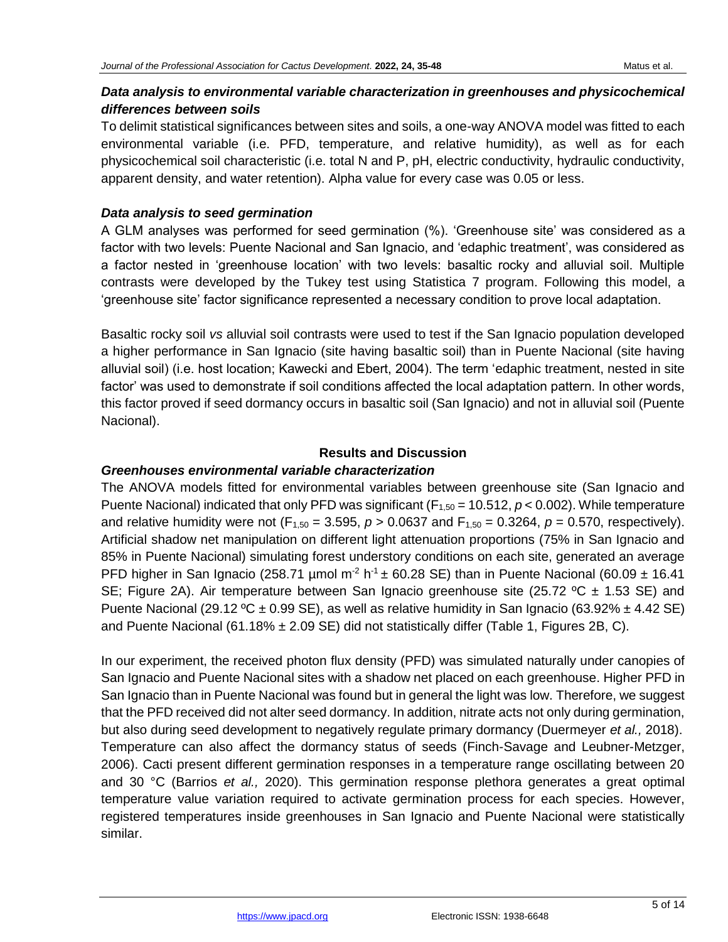# *Data analysis to environmental variable characterization in greenhouses and physicochemical differences between soils*

To delimit statistical significances between sites and soils, a one-way ANOVA model was fitted to each environmental variable (i.e. PFD, temperature, and relative humidity), as well as for each physicochemical soil characteristic (i.e. total N and P, pH, electric conductivity, hydraulic conductivity, apparent density, and water retention). Alpha value for every case was 0.05 or less.

## *Data analysis to seed germination*

A GLM analyses was performed for seed germination (%). 'Greenhouse site' was considered as a factor with two levels: Puente Nacional and San Ignacio, and 'edaphic treatment', was considered as a factor nested in 'greenhouse location' with two levels: basaltic rocky and alluvial soil. Multiple contrasts were developed by the Tukey test using Statistica 7 program. Following this model, a 'greenhouse site' factor significance represented a necessary condition to prove local adaptation.

Basaltic rocky soil *vs* alluvial soil contrasts were used to test if the San Ignacio population developed a higher performance in San Ignacio (site having basaltic soil) than in Puente Nacional (site having alluvial soil) (i.e. host location; Kawecki and Ebert, 2004). The term 'edaphic treatment, nested in site factor' was used to demonstrate if soil conditions affected the local adaptation pattern. In other words, this factor proved if seed dormancy occurs in basaltic soil (San Ignacio) and not in alluvial soil (Puente Nacional).

## **Results and Discussion**

#### *Greenhouses environmental variable characterization*

The ANOVA models fitted for environmental variables between greenhouse site (San Ignacio and Puente Nacional) indicated that only PFD was significant (F<sub>1,50</sub> = 10,512, *p* < 0.002). While temperature and relative humidity were not (F<sub>1,50</sub> = 3.595,  $p > 0.0637$  and F<sub>1,50</sub> = 0.3264,  $p = 0.570$ , respectively). Artificial shadow net manipulation on different light attenuation proportions (75% in San Ignacio and 85% in Puente Nacional) simulating forest understory conditions on each site, generated an average PFD higher in San Ignacio (258.71 µmol m<sup>-2</sup> h<sup>-1</sup> ± 60.28 SE) than in Puente Nacional (60.09 ± 16.41 SE; Figure 2A). Air temperature between San Ignacio greenhouse site (25.72 °C  $\pm$  1.53 SE) and Puente Nacional (29.12 °C  $\pm$  0.99 SE), as well as relative humidity in San Ignacio (63.92%  $\pm$  4.42 SE) and Puente Nacional (61.18%  $\pm$  2.09 SE) did not statistically differ (Table 1, Figures 2B, C).

In our experiment, the received photon flux density (PFD) was simulated naturally under canopies of San Ignacio and Puente Nacional sites with a shadow net placed on each greenhouse. Higher PFD in San Ignacio than in Puente Nacional was found but in general the light was low. Therefore, we suggest that the PFD received did not alter seed dormancy. In addition, nitrate acts not only during germination, but also during seed development to negatively regulate primary dormancy (Duermeyer *et al.,* 2018). Temperature can also affect the dormancy status of seeds (Finch-Savage and Leubner-Metzger, 2006). Cacti present different germination responses in a temperature range oscillating between 20 and 30 °C (Barrios *et al.,* 2020). This germination response plethora generates a great optimal temperature value variation required to activate germination process for each species. However, registered temperatures inside greenhouses in San Ignacio and Puente Nacional were statistically similar.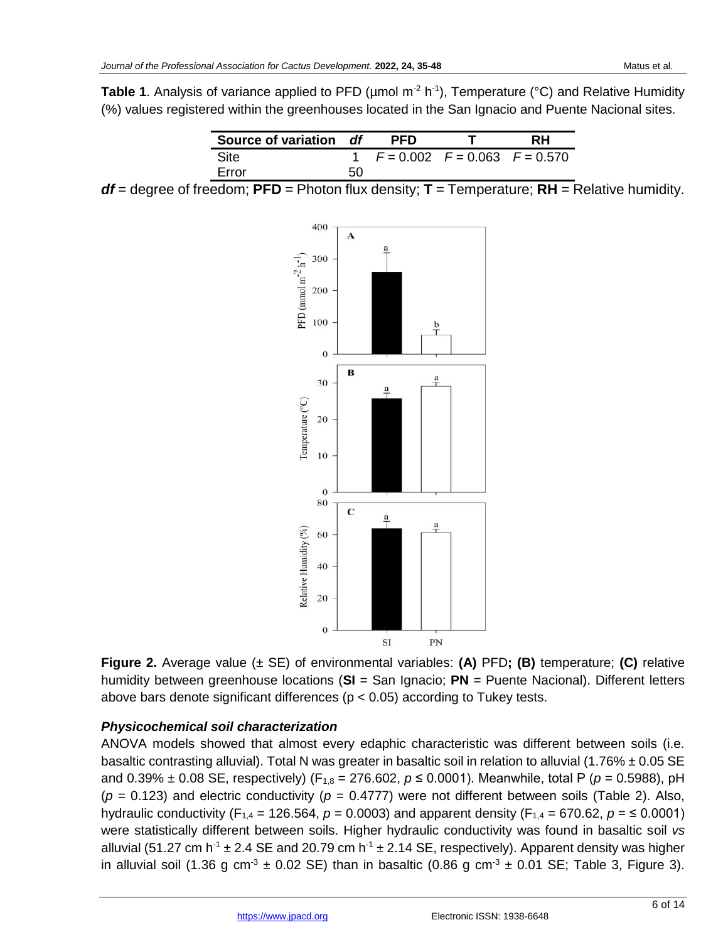**Table 1**. Analysis of variance applied to PFD (µmol m<sup>-2</sup> h<sup>-1</sup>), Temperature (°C) and Relative Humidity (%) values registered within the greenhouses located in the San Ignacio and Puente Nacional sites.

| Source of variation df |    | <b>PFD</b>                            | RН |  |
|------------------------|----|---------------------------------------|----|--|
| <b>Site</b>            |    | 1 $F = 0.002$ $F = 0.063$ $F = 0.570$ |    |  |
| Error                  | 50 |                                       |    |  |

*df* = degree of freedom; **PFD** = Photon flux density; **T** = Temperature; **RH** = Relative humidity.



**Figure 2.** Average value (± SE) of environmental variables: **(A)** PFD**; (B)** temperature; **(C)** relative humidity between greenhouse locations (**SI** = San Ignacio; **PN** = Puente Nacional). Different letters above bars denote significant differences (p < 0.05) according to Tukey tests.

## *Physicochemical soil characterization*

ANOVA models showed that almost every edaphic characteristic was different between soils (i.e. basaltic contrasting alluvial). Total N was greater in basaltic soil in relation to alluvial (1.76% ± 0.05 SE and 0.39% ± 0.08 SE, respectively) (F<sub>1,8</sub> = 276.602,  $p$  ≤ 0.0001). Meanwhile, total P ( $p$  = 0.5988), pH  $(p = 0.123)$  and electric conductivity  $(p = 0.4777)$  were not different between soils (Table 2). Also, hydraulic conductivity (F<sub>1,4</sub> = 126.564,  $p = 0.0003$ ) and apparent density (F<sub>1,4</sub> = 670.62,  $p = \le 0.0001$ ) were statistically different between soils. Higher hydraulic conductivity was found in basaltic soil *vs* alluvial (51.27 cm h<sup>-1</sup>  $\pm$  2.4 SE and 20.79 cm h<sup>-1</sup>  $\pm$  2.14 SE, respectively). Apparent density was higher in alluvial soil (1.36 g cm<sup>-3</sup>  $\pm$  0.02 SE) than in basaltic (0.86 g cm<sup>-3</sup>  $\pm$  0.01 SE; Table 3, Figure 3).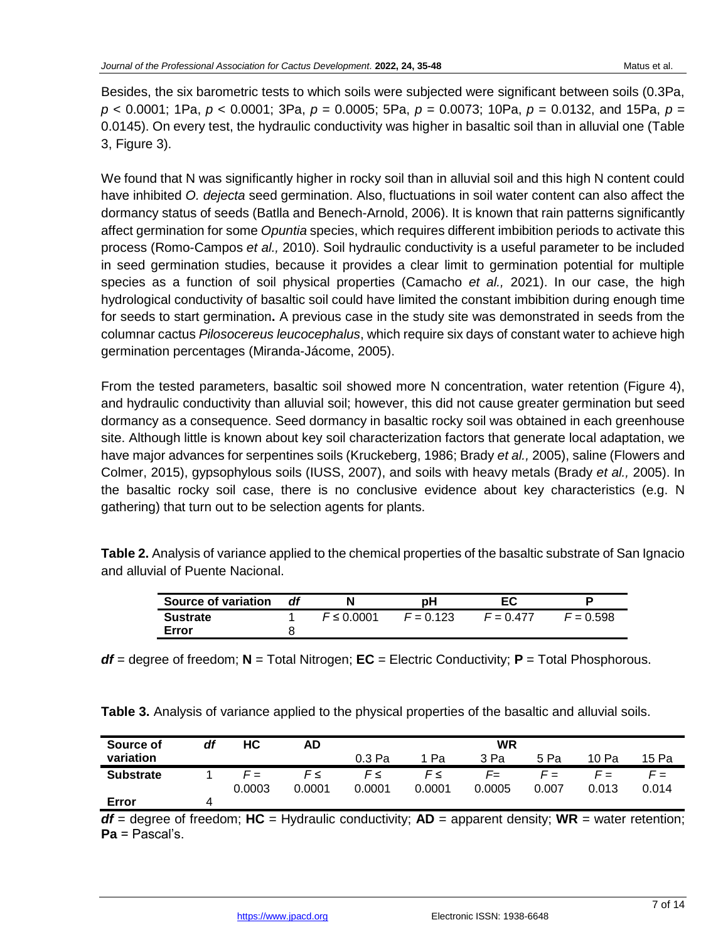Besides, the six barometric tests to which soils were subjected were significant between soils (0.3Pa, *p* < 0.0001; 1Pa, *p* < 0.0001; 3Pa, *p* = 0.0005; 5Pa, *p* = 0.0073; 10Pa, *p* = 0.0132, and 15Pa, *p* = 0.0145). On every test, the hydraulic conductivity was higher in basaltic soil than in alluvial one (Table 3, Figure 3).

We found that N was significantly higher in rocky soil than in alluvial soil and this high N content could have inhibited *O. dejecta* seed germination. Also, fluctuations in soil water content can also affect the dormancy status of seeds (Batlla and Benech-Arnold, 2006). It is known that rain patterns significantly affect germination for some *Opuntia* species, which requires different imbibition periods to activate this process (Romo-Campos *et al.,* 2010). Soil hydraulic conductivity is a useful parameter to be included in seed germination studies, because it provides a clear limit to germination potential for multiple species as a function of soil physical properties (Camacho *et al.,* 2021). In our case, the high hydrological conductivity of basaltic soil could have limited the constant imbibition during enough time for seeds to start germination**.** A previous case in the study site was demonstrated in seeds from the columnar cactus *Pilosocereus leucocephalus*, which require six days of constant water to achieve high germination percentages (Miranda-Jácome, 2005).

From the tested parameters, basaltic soil showed more N concentration, water retention (Figure 4), and hydraulic conductivity than alluvial soil; however, this did not cause greater germination but seed dormancy as a consequence. Seed dormancy in basaltic rocky soil was obtained in each greenhouse site. Although little is known about key soil characterization factors that generate local adaptation, we have major advances for serpentines soils (Kruckeberg, 1986; Brady *et al.,* 2005), saline (Flowers and Colmer, 2015), gypsophylous soils (IUSS, 2007), and soils with heavy metals (Brady *et al.,* 2005). In the basaltic rocky soil case, there is no conclusive evidence about key characteristics (e.g. N gathering) that turn out to be selection agents for plants.

**Table 2.** Analysis of variance applied to the chemical properties of the basaltic substrate of San Ignacio and alluvial of Puente Nacional.

| <b>Source of variation</b> | df | N               | рH          | ЕC          | D           |
|----------------------------|----|-----------------|-------------|-------------|-------------|
| <b>Sustrate</b>            |    | $F \leq 0.0001$ | $F = 0.123$ | $F = 0.477$ | $F = 0.598$ |
| Error                      |    |                 |             |             |             |

*df* = degree of freedom; **N** = Total Nitrogen; **EC** = Electric Conductivity; **P** = Total Phosphorous.

| Source of        | df | НC     | AD     | <b>WR</b> |        |        |       |       |       |
|------------------|----|--------|--------|-----------|--------|--------|-------|-------|-------|
| variation        |    |        |        | 0.3 Pa    | Pa     | 3 Pa   | 5 Pa  | 10 Pa | 15 Pa |
| <b>Substrate</b> |    | $F =$  | F≤     | $F \leq$  | F≤     | F=     | $F =$ | $F =$ | $F =$ |
|                  |    | 0.0003 | 0.0001 | 0.0001    | 0.0001 | 0.0005 | 0.007 | 0.013 | 0.014 |
| Error            | 4  |        |        |           |        |        |       |       |       |

 $df =$  degree of freedom;  $HC =$  Hydraulic conductivity;  $AD =$  apparent density;  $WR =$  water retention; **Pa** = Pascal's.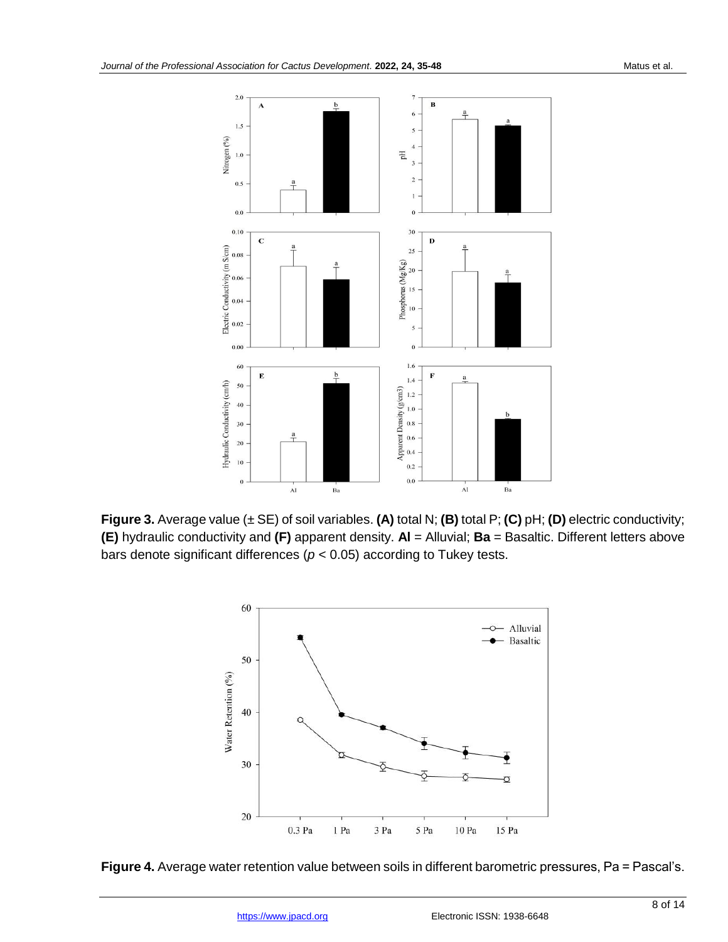

**Figure 3.** Average value (± SE) of soil variables. **(A)** total N; **(B)** total P; **(C)** pH; **(D)** electric conductivity; **(E)** hydraulic conductivity and **(F)** apparent density. **Al** = Alluvial; **Ba** = Basaltic. Different letters above bars denote significant differences (*p* < 0.05) according to Tukey tests.



**Figure 4.** Average water retention value between soils in different barometric pressures, Pa = Pascal's.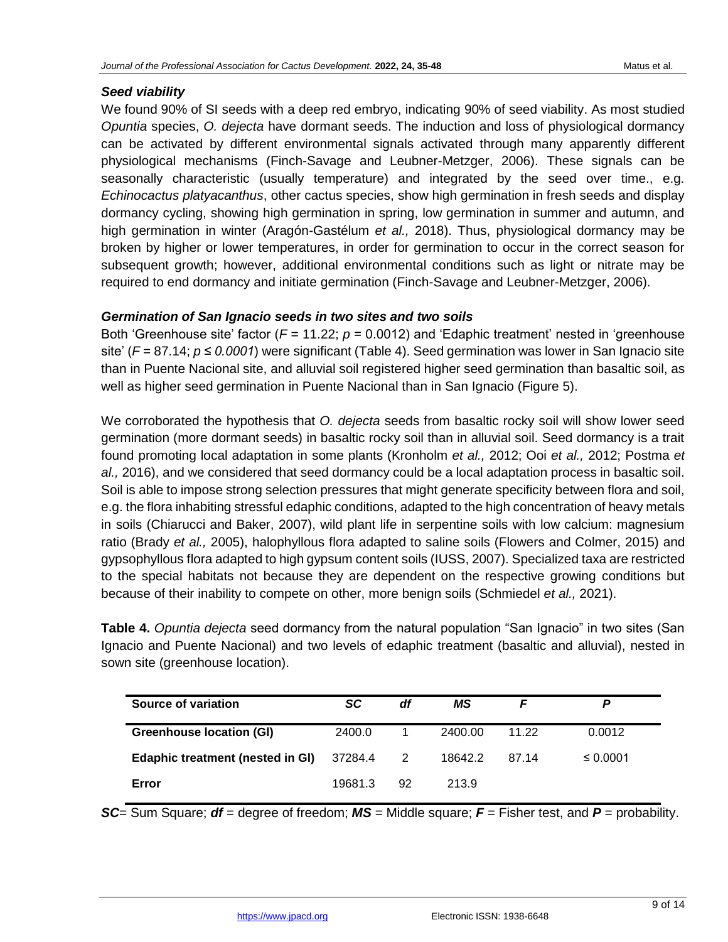# *Seed viability*

We found 90% of SI seeds with a deep red embryo, indicating 90% of seed viability. As most studied *Opuntia* species, *O. dejecta* have dormant seeds. The induction and loss of physiological dormancy can be activated by different environmental signals activated through many apparently different physiological mechanisms (Finch-Savage and Leubner-Metzger, 2006). These signals can be seasonally characteristic (usually temperature) and integrated by the seed over time., e.g. *Echinocactus platyacanthus*, other cactus species, show high germination in fresh seeds and display dormancy cycling, showing high germination in spring, low germination in summer and autumn, and high germination in winter (Aragón-Gastélum *et al.,* 2018). Thus, physiological dormancy may be broken by higher or lower temperatures, in order for germination to occur in the correct season for subsequent growth; however, additional environmental conditions such as light or nitrate may be required to end dormancy and initiate germination (Finch-Savage and Leubner-Metzger, 2006).

## *Germination of San Ignacio seeds in two sites and two soils*

Both 'Greenhouse site' factor (*F* = 11.22; *p* = 0.0012) and 'Edaphic treatment' nested in 'greenhouse site' (*F* = 87.14; *p* ≤ 0.0001) were significant (Table 4). Seed germination was lower in San Ignacio site than in Puente Nacional site, and alluvial soil registered higher seed germination than basaltic soil, as well as higher seed germination in Puente Nacional than in San Ignacio (Figure 5).

We corroborated the hypothesis that *O. dejecta* seeds from basaltic rocky soil will show lower seed germination (more dormant seeds) in basaltic rocky soil than in alluvial soil. Seed dormancy is a trait found promoting local adaptation in some plants (Kronholm *et al.,* 2012; Ooi *et al.,* 2012; Postma *et al.,* 2016), and we considered that seed dormancy could be a local adaptation process in basaltic soil. Soil is able to impose strong selection pressures that might generate specificity between flora and soil, e.g. the flora inhabiting stressful edaphic conditions, adapted to the high concentration of heavy metals in soils (Chiarucci and Baker, 2007), wild plant life in serpentine soils with low calcium: magnesium ratio (Brady *et al.,* 2005), halophyllous flora adapted to saline soils (Flowers and Colmer, 2015) and gypsophyllous flora adapted to high gypsum content soils (IUSS, 2007). Specialized taxa are restricted to the special habitats not because they are dependent on the respective growing conditions but because of their inability to compete on other, more benign soils (Schmiedel *et al.,* 2021).

**Table 4.** *Opuntia dejecta* seed dormancy from the natural population "San Ignacio" in two sites (San Ignacio and Puente Nacional) and two levels of edaphic treatment (basaltic and alluvial), nested in sown site (greenhouse location).

| Source of variation                     | SC      | df | MS      |       |               |
|-----------------------------------------|---------|----|---------|-------|---------------|
| <b>Greenhouse location (GI)</b>         | 2400.0  |    | 2400.00 | 11.22 | 0.0012        |
| <b>Edaphic treatment (nested in GI)</b> | 37284.4 | 2  | 18642.2 | 87.14 | $\leq 0.0001$ |
| Error                                   | 19681.3 | 92 | 213.9   |       |               |

*SC*= Sum Square; *df* = degree of freedom; *MS* = Middle square; *F* = Fisher test, and *P* = probability.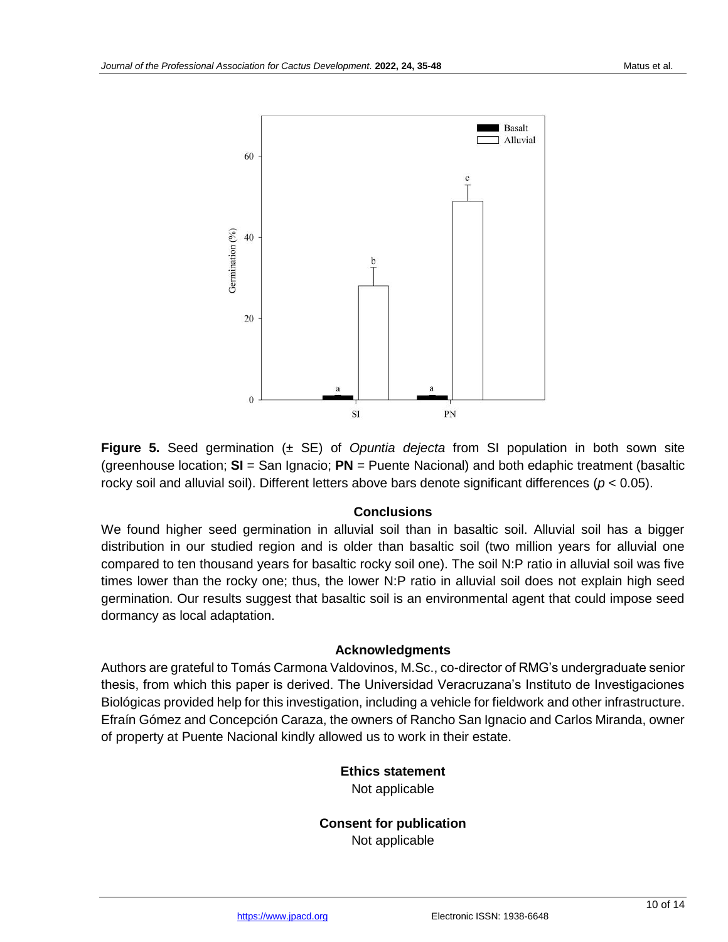

**Figure 5.** Seed germination (± SE) of *Opuntia dejecta* from SI population in both sown site (greenhouse location; **SI** = San Ignacio; **PN** = Puente Nacional) and both edaphic treatment (basaltic rocky soil and alluvial soil). Different letters above bars denote significant differences (*p* < 0.05).

#### **Conclusions**

We found higher seed germination in alluvial soil than in basaltic soil. Alluvial soil has a bigger distribution in our studied region and is older than basaltic soil (two million years for alluvial one compared to ten thousand years for basaltic rocky soil one). The soil N:P ratio in alluvial soil was five times lower than the rocky one; thus, the lower N:P ratio in alluvial soil does not explain high seed germination. Our results suggest that basaltic soil is an environmental agent that could impose seed dormancy as local adaptation.

#### **Acknowledgments**

Authors are grateful to Tomás Carmona Valdovinos, M.Sc., co-director of RMG's undergraduate senior thesis, from which this paper is derived. The Universidad Veracruzana's Instituto de Investigaciones Biológicas provided help for this investigation, including a vehicle for fieldwork and other infrastructure. Efraín Gómez and Concepción Caraza, the owners of Rancho San Ignacio and Carlos Miranda, owner of property at Puente Nacional kindly allowed us to work in their estate.

#### **Ethics statement** Not applicable

**Consent for publication** Not applicable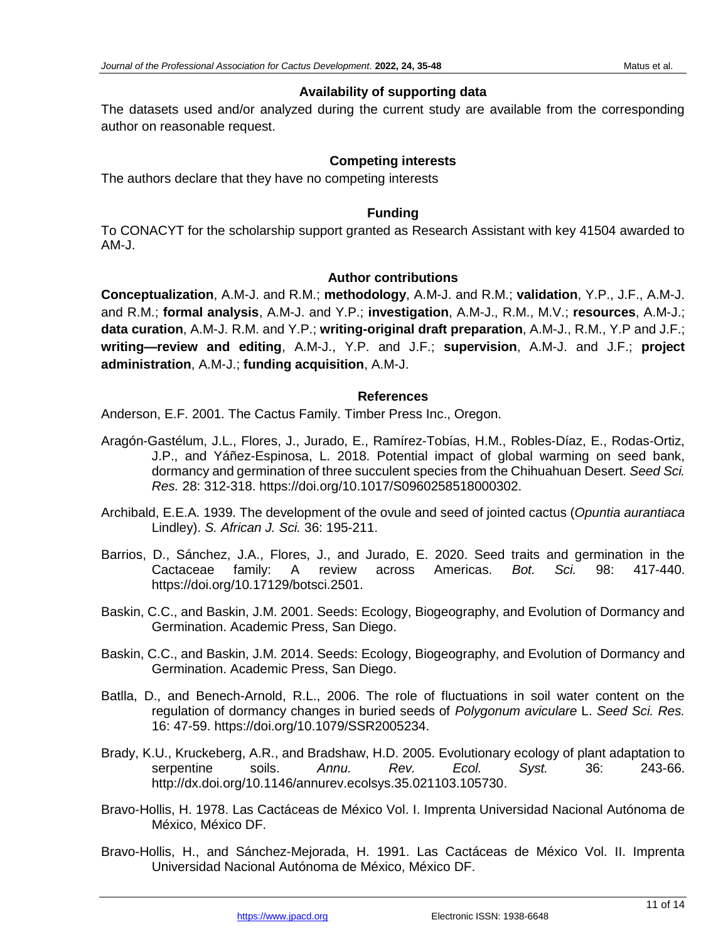## **Availability of supporting data**

The datasets used and/or analyzed during the current study are available from the corresponding author on reasonable request.

## **Competing interests**

The authors declare that they have no competing interests

#### **Funding**

To CONACYT for the scholarship support granted as Research Assistant with key 41504 awarded to AM-J.

#### **Author contributions**

**Conceptualization**, A.M-J. and R.M.; **methodology**, A.M-J. and R.M.; **validation**, Y.P., J.F., A.M-J. and R.M.; **formal analysis**, A.M-J. and Y.P.; **investigation**, A.M-J., R.M., M.V.; **resources**, A.M-J.; **data curation**, A.M-J. R.M. and Y.P.; **writing-original draft preparation**, A.M-J., R.M., Y.P and J.F.; **writing—review and editing**, A.M-J., Y.P. and J.F.; **supervision**, A.M-J. and J.F.; **project administration**, A.M-J.; **funding acquisition**, A.M-J.

#### **References**

Anderson, E.F. 2001. The Cactus Family. Timber Press Inc., Oregon.

- Aragón-Gastélum, J.L., Flores, J., Jurado, E., Ramírez-Tobías, H.M., Robles-Díaz, E., Rodas-Ortiz, J.P., and Yáñez-Espinosa, L. 2018. Potential impact of global warming on seed bank, dormancy and germination of three succulent species from the Chihuahuan Desert. *Seed Sci. Res.* 28: 312-318. https://doi.org/10.1017/S0960258518000302.
- Archibald, E.E.A. 1939. The development of the ovule and seed of jointed cactus (*Opuntia aurantiaca* Lindley). *S. African J. Sci.* 36: 195-211.
- Barrios, D., Sánchez, J.A., Flores, J., and Jurado, E. 2020. Seed traits and germination in the Cactaceae family: A review across Americas. *Bot. Sci.* 98: 417-440. https://doi.org/10.17129/botsci.2501.
- Baskin, C.C., and Baskin, J.M. 2001. Seeds: Ecology, Biogeography, and Evolution of Dormancy and Germination. Academic Press, San Diego.
- Baskin, C.C., and Baskin, J.M. 2014. Seeds: Ecology, Biogeography, and Evolution of Dormancy and Germination. Academic Press, San Diego.
- Batlla, D., and Benech-Arnold, R.L., 2006. The role of fluctuations in soil water content on the regulation of dormancy changes in buried seeds of *Polygonum aviculare* L. *Seed Sci. Res.* 16: 47-59. https://doi.org/10.1079/SSR2005234.
- Brady, K.U., Kruckeberg, A.R., and Bradshaw, H.D. 2005. Evolutionary ecology of plant adaptation to serpentine soils. *Annu. Rev. Ecol. Syst.* 36: 243-66. http://dx.doi.org/10.1146/annurev.ecolsys.35.021103.105730.
- Bravo-Hollis, H. 1978. Las Cactáceas de México Vol. I. Imprenta Universidad Nacional Autónoma de México, México DF.
- Bravo-Hollis, H., and Sánchez-Mejorada, H. 1991. Las Cactáceas de México Vol. II. Imprenta Universidad Nacional Autónoma de México, México DF.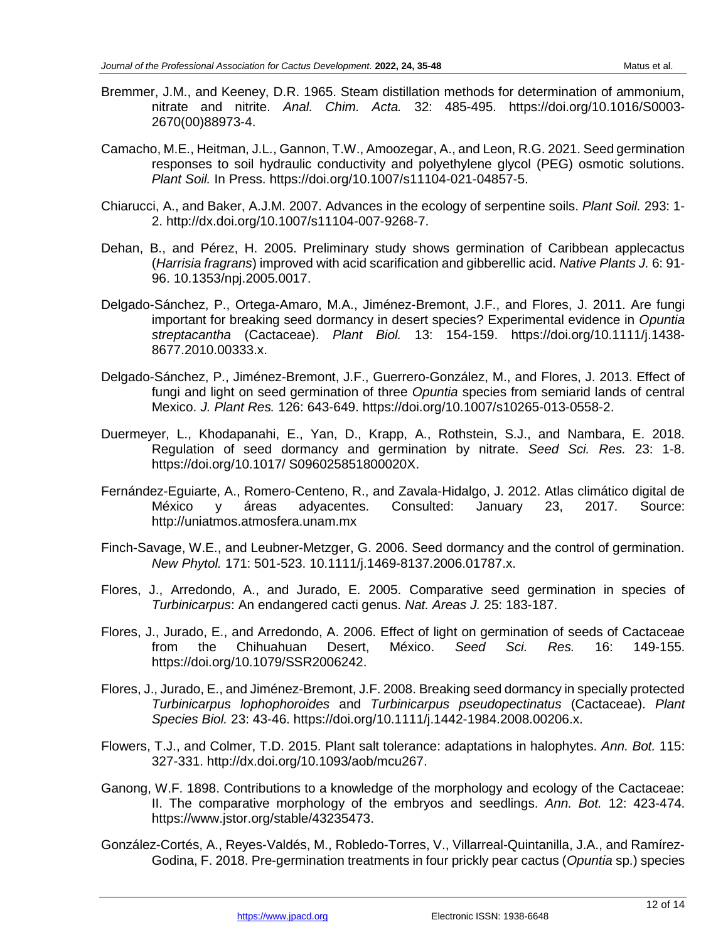- Bremmer, J.M., and Keeney, D.R. 1965. Steam distillation methods for determination of ammonium, nitrate and nitrite. *Anal. Chim. Acta.* 32: 485-495. https://doi.org/10.1016/S0003- 2670(00)88973-4.
- Camacho, M.E., Heitman, J.L., Gannon, T.W., Amoozegar, A., and Leon, R.G. 2021. Seed germination responses to soil hydraulic conductivity and polyethylene glycol (PEG) osmotic solutions. *Plant Soil.* In Press. https://doi.org/10.1007/s11104-021-04857-5.
- Chiarucci, A., and Baker, A.J.M. 2007. Advances in the ecology of serpentine soils. *Plant Soil.* 293: 1- 2. http://dx.doi.org/10.1007/s11104-007-9268-7.
- Dehan, B., and Pérez, H. 2005. Preliminary study shows germination of Caribbean applecactus (*Harrisia fragrans*) improved with acid scarification and gibberellic acid. *Native Plants J.* 6: 91- 96. 10.1353/npj.2005.0017.
- Delgado-Sánchez, P., Ortega-Amaro, M.A., Jiménez-Bremont, J.F., and Flores, J. 2011. Are fungi important for breaking seed dormancy in desert species? Experimental evidence in *Opuntia streptacantha* (Cactaceae). *Plant Biol.* 13: 154-159. https://doi.org/10.1111/j.1438- 8677.2010.00333.x.
- Delgado-Sánchez, P., Jiménez-Bremont, J.F., Guerrero-González, M., and Flores, J. 2013. Effect of fungi and light on seed germination of three *Opuntia* species from semiarid lands of central Mexico. *J. Plant Res.* 126: 643-649. https://doi.org/10.1007/s10265-013-0558-2.
- Duermeyer, L., Khodapanahi, E., Yan, D., Krapp, A., Rothstein, S.J., and Nambara, E. 2018. Regulation of seed dormancy and germination by nitrate. *Seed Sci. Res.* 23: 1-8. https://doi.org/10.1017/ S096025851800020X.
- Fernández-Eguiarte, A., Romero-Centeno, R., and Zavala-Hidalgo, J. 2012. Atlas climático digital de México y áreas adyacentes. Consulted: January 23, 2017. Source: http://uniatmos.atmosfera.unam.mx
- Finch-Savage, W.E., and Leubner-Metzger, G. 2006. Seed dormancy and the control of germination. *New Phytol.* 171: 501-523. 10.1111/j.1469-8137.2006.01787.x.
- Flores, J., Arredondo, A., and Jurado, E. 2005. Comparative seed germination in species of *Turbinicarpus*: An endangered cacti genus. *Nat. Areas J.* 25: 183-187.
- Flores, J., Jurado, E., and Arredondo, A. 2006. Effect of light on germination of seeds of Cactaceae from the Chihuahuan Desert, México. *Seed Sci. Res.* 16: 149-155. https://doi.org/10.1079/SSR2006242.
- Flores, J., Jurado, E., and Jiménez-Bremont, J.F. 2008. Breaking seed dormancy in specially protected *Turbinicarpus lophophoroides* and *Turbinicarpus pseudopectinatus* (Cactaceae). *Plant Species Biol.* 23: 43-46. https://doi.org/10.1111/j.1442-1984.2008.00206.x.
- Flowers, T.J., and Colmer, T.D. 2015. Plant salt tolerance: adaptations in halophytes. *Ann. Bot.* 115: 327-331. http://dx.doi.org/10.1093/aob/mcu267.
- Ganong, W.F. 1898. Contributions to a knowledge of the morphology and ecology of the Cactaceae: II. The comparative morphology of the embryos and seedlings. *Ann. Bot.* 12: 423-474. https://www.jstor.org/stable/43235473.
- González-Cortés, A., Reyes-Valdés, M., Robledo-Torres, V., Villarreal-Quintanilla, J.A., and Ramírez-Godina, F. 2018. Pre-germination treatments in four prickly pear cactus (*Opuntia* sp.) species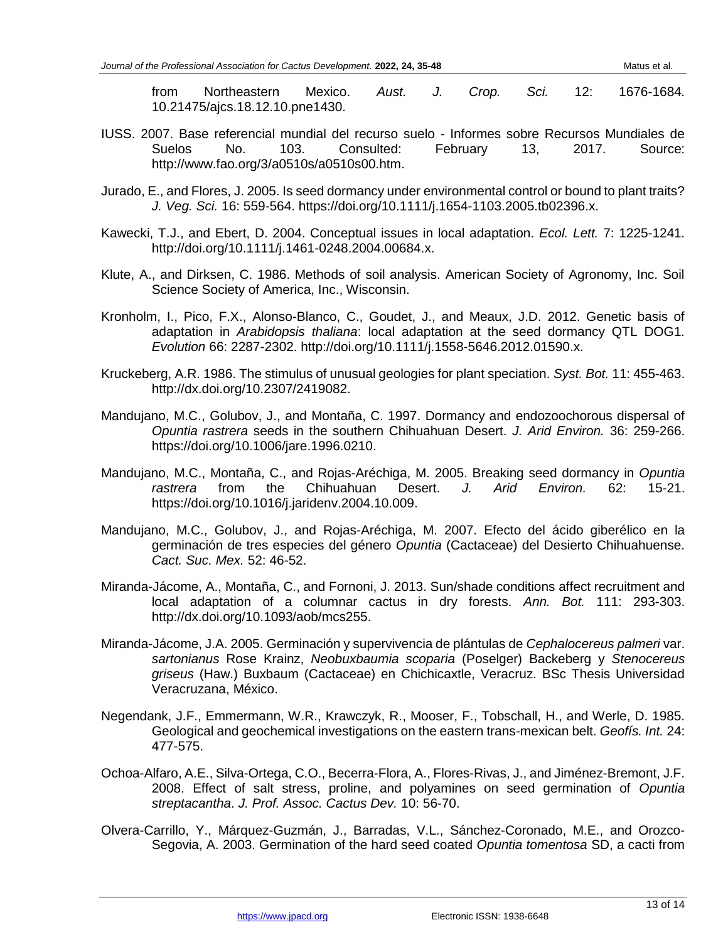10.21475/ajcs.18.12.10.pne1430.

- IUSS. 2007. Base referencial mundial del recurso suelo Informes sobre Recursos Mundiales de<br>Suelos No. 103. Consulted: February 13. 2017. Source: Suelos No. 103. Consulted: February 13, 2017. Source: http://www.fao.org/3/a0510s/a0510s00.htm.
- Jurado, E., and Flores, J. 2005. Is seed dormancy under environmental control or bound to plant traits? *J. Veg. Sci.* 16: 559-564. https://doi.org/10.1111/j.1654-1103.2005.tb02396.x.
- Kawecki, T.J., and Ebert, D. 2004. Conceptual issues in local adaptation. *Ecol. Lett.* 7: 1225-1241. http://doi.org/10.1111/j.1461-0248.2004.00684.x.
- Klute, A., and Dirksen, C. 1986. Methods of soil analysis. American Society of Agronomy, Inc. Soil Science Society of America, Inc., Wisconsin.
- Kronholm, I., Pico, F.X., Alonso-Blanco, C., Goudet, J., and Meaux, J.D. 2012. Genetic basis of adaptation in *Arabidopsis thaliana*: local adaptation at the seed dormancy QTL DOG1. *Evolution* 66: 2287-2302. http://doi.org/10.1111/j.1558-5646.2012.01590.x.
- Kruckeberg, A.R. 1986. The stimulus of unusual geologies for plant speciation. *Syst. Bot.* 11: 455-463. http://dx.doi.org/10.2307/2419082.
- Mandujano, M.C., Golubov, J., and Montaña, C. 1997. Dormancy and endozoochorous dispersal of *Opuntia rastrera* seeds in the southern Chihuahuan Desert. *J. Arid Environ.* 36: 259-266. https://doi.org/10.1006/jare.1996.0210.
- Mandujano, M.C., Montaña, C., and Rojas-Aréchiga, M. 2005. Breaking seed dormancy in *Opuntia rastrera* from the Chihuahuan Desert. *J. Arid Environ.* 62: 15-21. https://doi.org/10.1016/j.jaridenv.2004.10.009.
- Mandujano, M.C., Golubov, J., and Rojas-Aréchiga, M. 2007. Efecto del ácido giberélico en la germinación de tres especies del género *Opuntia* (Cactaceae) del Desierto Chihuahuense. *Cact. Suc. Mex.* 52: 46-52.
- Miranda-Jácome, A., Montaña, C., and Fornoni, J. 2013. Sun/shade conditions affect recruitment and local adaptation of a columnar cactus in dry forests. *Ann. Bot.* 111: 293-303. http://dx.doi.org/10.1093/aob/mcs255.
- Miranda-Jácome, J.A. 2005. Germinación y supervivencia de plántulas de *Cephalocereus palmeri* var. *sartonianus* Rose Krainz, *Neobuxbaumia scoparia* (Poselger) Backeberg y *Stenocereus griseus* (Haw.) Buxbaum (Cactaceae) en Chichicaxtle, Veracruz. BSc Thesis Universidad Veracruzana, México.
- Negendank, J.F., Emmermann, W.R., Krawczyk, R., Mooser, F., Tobschall, H., and Werle, D. 1985. Geological and geochemical investigations on the eastern trans-mexican belt. *Geofís. Int.* 24: 477-575.
- Ochoa-Alfaro, A.E., Silva-Ortega, C.O., Becerra-Flora, A., Flores-Rivas, J., and Jiménez-Bremont, J.F. 2008. Effect of salt stress, proline, and polyamines on seed germination of *Opuntia streptacantha*. *J. Prof. Assoc. Cactus Dev.* 10: 56-70.
- Olvera-Carrillo, Y., Márquez-Guzmán, J., Barradas, V.L., Sánchez-Coronado, M.E., and Orozco-Segovia, A. 2003. Germination of the hard seed coated *Opuntia tomentosa* SD, a cacti from